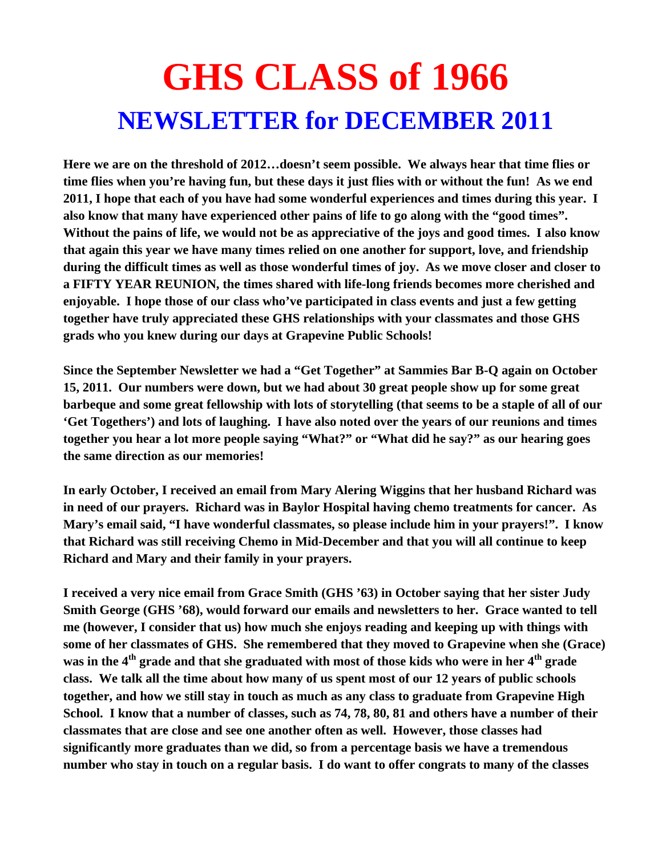## **GHS CLASS of 1966 NEWSLETTER for DECEMBER 2011**

**Here we are on the threshold of 2012…doesn't seem possible. We always hear that time flies or time flies when you're having fun, but these days it just flies with or without the fun! As we end 2011, I hope that each of you have had some wonderful experiences and times during this year. I also know that many have experienced other pains of life to go along with the "good times". Without the pains of life, we would not be as appreciative of the joys and good times. I also know that again this year we have many times relied on one another for support, love, and friendship during the difficult times as well as those wonderful times of joy. As we move closer and closer to a FIFTY YEAR REUNION, the times shared with life-long friends becomes more cherished and enjoyable. I hope those of our class who've participated in class events and just a few getting together have truly appreciated these GHS relationships with your classmates and those GHS grads who you knew during our days at Grapevine Public Schools!** 

**Since the September Newsletter we had a "Get Together" at Sammies Bar B-Q again on October 15, 2011. Our numbers were down, but we had about 30 great people show up for some great barbeque and some great fellowship with lots of storytelling (that seems to be a staple of all of our 'Get Togethers') and lots of laughing. I have also noted over the years of our reunions and times together you hear a lot more people saying "What?" or "What did he say?" as our hearing goes the same direction as our memories!** 

**In early October, I received an email from Mary Alering Wiggins that her husband Richard was in need of our prayers. Richard was in Baylor Hospital having chemo treatments for cancer. As Mary's email said, "I have wonderful classmates, so please include him in your prayers!". I know that Richard was still receiving Chemo in Mid-December and that you will all continue to keep Richard and Mary and their family in your prayers.** 

**I received a very nice email from Grace Smith (GHS '63) in October saying that her sister Judy Smith George (GHS '68), would forward our emails and newsletters to her. Grace wanted to tell me (however, I consider that us) how much she enjoys reading and keeping up with things with some of her classmates of GHS. She remembered that they moved to Grapevine when she (Grace)**  was in the 4<sup>th</sup> grade and that she graduated with most of those kids who were in her 4<sup>th</sup> grade **class. We talk all the time about how many of us spent most of our 12 years of public schools together, and how we still stay in touch as much as any class to graduate from Grapevine High School. I know that a number of classes, such as 74, 78, 80, 81 and others have a number of their classmates that are close and see one another often as well. However, those classes had significantly more graduates than we did, so from a percentage basis we have a tremendous number who stay in touch on a regular basis. I do want to offer congrats to many of the classes**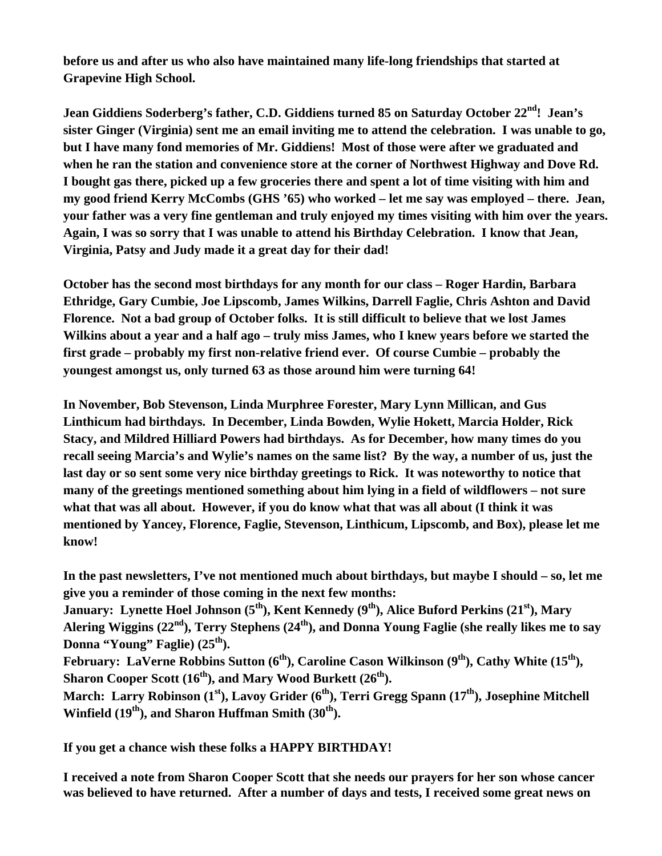**before us and after us who also have maintained many life-long friendships that started at Grapevine High School.** 

**Jean Giddiens Soderberg's father, C.D. Giddiens turned 85 on Saturday October 22nd! Jean's sister Ginger (Virginia) sent me an email inviting me to attend the celebration. I was unable to go, but I have many fond memories of Mr. Giddiens! Most of those were after we graduated and when he ran the station and convenience store at the corner of Northwest Highway and Dove Rd. I bought gas there, picked up a few groceries there and spent a lot of time visiting with him and my good friend Kerry McCombs (GHS '65) who worked – let me say was employed – there. Jean, your father was a very fine gentleman and truly enjoyed my times visiting with him over the years. Again, I was so sorry that I was unable to attend his Birthday Celebration. I know that Jean, Virginia, Patsy and Judy made it a great day for their dad!** 

**October has the second most birthdays for any month for our class – Roger Hardin, Barbara Ethridge, Gary Cumbie, Joe Lipscomb, James Wilkins, Darrell Faglie, Chris Ashton and David Florence. Not a bad group of October folks. It is still difficult to believe that we lost James Wilkins about a year and a half ago – truly miss James, who I knew years before we started the first grade – probably my first non-relative friend ever. Of course Cumbie – probably the youngest amongst us, only turned 63 as those around him were turning 64!** 

**In November, Bob Stevenson, Linda Murphree Forester, Mary Lynn Millican, and Gus Linthicum had birthdays. In December, Linda Bowden, Wylie Hokett, Marcia Holder, Rick Stacy, and Mildred Hilliard Powers had birthdays. As for December, how many times do you recall seeing Marcia's and Wylie's names on the same list? By the way, a number of us, just the last day or so sent some very nice birthday greetings to Rick. It was noteworthy to notice that many of the greetings mentioned something about him lying in a field of wildflowers – not sure what that was all about. However, if you do know what that was all about (I think it was mentioned by Yancey, Florence, Faglie, Stevenson, Linthicum, Lipscomb, and Box), please let me know!** 

**In the past newsletters, I've not mentioned much about birthdays, but maybe I should – so, let me give you a reminder of those coming in the next few months:** 

**January: Lynette Hoel Johnson (5<sup>th</sup>), Kent Kennedy (9<sup>th</sup>), Alice Buford Perkins (21<sup>st</sup>), Mary** Alering Wiggins (22<sup>nd</sup>), Terry Stephens (24<sup>th</sup>), and Donna Young Faglie (she really likes me to say Donna "Young" Faglie) (25<sup>th</sup>).

February: LaVerne Robbins Sutton (6<sup>th</sup>), Caroline Cason Wilkinson (9<sup>th</sup>), Cathy White (15<sup>th</sup>), **Sharon Cooper Scott (16<sup>th</sup>), and Mary Wood Burkett (26<sup>th</sup>).** 

March: Larry Robinson (1<sup>st</sup>), Lavoy Grider (6<sup>th</sup>), Terri Gregg Spann (17<sup>th</sup>), Josephine Mitchell Winfield (19<sup>th</sup>), and Sharon Huffman Smith (30<sup>th</sup>).

**If you get a chance wish these folks a HAPPY BIRTHDAY!** 

**I received a note from Sharon Cooper Scott that she needs our prayers for her son whose cancer was believed to have returned. After a number of days and tests, I received some great news on**